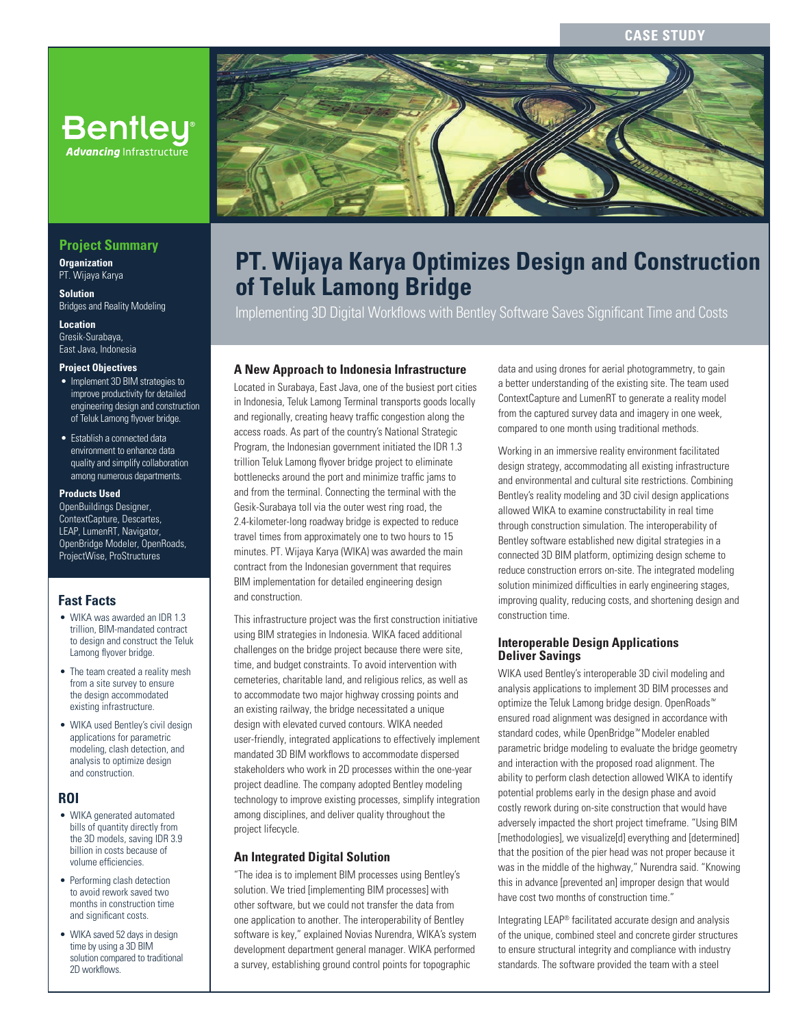# **CASE STUDY**



# **PT. Wijaya Karya Optimizes Design and Construction of Teluk Lamong Bridge**

Implementing 3D Digital Workflows with Bentley Software Saves Significant Time and Costs

## **A New Approach to Indonesia Infrastructure**

Located in Surabaya, East Java, one of the busiest port cities in Indonesia, Teluk Lamong Terminal transports goods locally and regionally, creating heavy traffic congestion along the access roads. As part of the country's National Strategic Program, the Indonesian government initiated the IDR 1.3 trillion Teluk Lamong flyover bridge project to eliminate bottlenecks around the port and minimize traffic jams to and from the terminal. Connecting the terminal with the Gesik-Surabaya toll via the outer west ring road, the 2.4-kilometer-long roadway bridge is expected to reduce travel times from approximately one to two hours to 15 minutes. PT. Wijaya Karya (WIKA) was awarded the main contract from the Indonesian government that requires BIM implementation for detailed engineering design and construction.

This infrastructure project was the first construction initiative using BIM strategies in Indonesia. WIKA faced additional challenges on the bridge project because there were site, time, and budget constraints. To avoid intervention with cemeteries, charitable land, and religious relics, as well as to accommodate two major highway crossing points and an existing railway, the bridge necessitated a unique design with elevated curved contours. WIKA needed user-friendly, integrated applications to effectively implement mandated 3D BIM workflows to accommodate dispersed stakeholders who work in 2D processes within the one-year project deadline. The company adopted Bentley modeling technology to improve existing processes, simplify integration among disciplines, and deliver quality throughout the project lifecycle.

## **An Integrated Digital Solution**

"The idea is to implement BIM processes using Bentley's solution. We tried [implementing BIM processes] with other software, but we could not transfer the data from one application to another. The interoperability of Bentley software is key," explained Novias Nurendra, WIKA's system development department general manager. WIKA performed a survey, establishing ground control points for topographic

data and using drones for aerial photogrammetry, to gain a better understanding of the existing site. The team used ContextCapture and LumenRT to generate a reality model from the captured survey data and imagery in one week, compared to one month using traditional methods.

Working in an immersive reality environment facilitated design strategy, accommodating all existing infrastructure and environmental and cultural site restrictions. Combining Bentley's reality modeling and 3D civil design applications allowed WIKA to examine constructability in real time through construction simulation. The interoperability of Bentley software established new digital strategies in a connected 3D BIM platform, optimizing design scheme to reduce construction errors on-site. The integrated modeling solution minimized difficulties in early engineering stages, improving quality, reducing costs, and shortening design and construction time.

### **Interoperable Design Applications Deliver Savings**

WIKA used Bentley's interoperable 3D civil modeling and analysis applications to implement 3D BIM processes and optimize the Teluk Lamong bridge design. OpenRoads*™*  ensured road alignment was designed in accordance with standard codes, while OpenBridge*™* Modeler enabled parametric bridge modeling to evaluate the bridge geometry and interaction with the proposed road alignment. The ability to perform clash detection allowed WIKA to identify potential problems early in the design phase and avoid costly rework during on-site construction that would have adversely impacted the short project timeframe. "Using BIM [methodologies], we visualize[d] everything and [determined] that the position of the pier head was not proper because it was in the middle of the highway," Nurendra said. "Knowing this in advance [prevented an] improper design that would have cost two months of construction time."

Integrating LEAP® facilitated accurate design and analysis of the unique, combined steel and concrete girder structures to ensure structural integrity and compliance with industry standards. The software provided the team with a steel

## **Project Summary**

**Advancing Infrastructure** 

**Organization** PT. Wijaya Karya

**Solution** Bridges and Reality Modeling

**Location** Gresik-Surabaya, East Java, Indonesia

## **Project Objectives**

- Implement 3D BIM strategies to improve productivity for detailed engineering design and construction of Teluk Lamong flyover bridge.
- Establish a connected data environment to enhance data quality and simplify collaboration among numerous departments.

#### **Products Used**

OpenBuildings Designer, ContextCapture, Descartes, LEAP, LumenRT, Navigator, OpenBridge Modeler, OpenRoads, ProjectWise, ProStructures

## **Fast Facts**

- WIKA was awarded an IDR 1.3 trillion, BIM-mandated contract to design and construct the Teluk Lamong flyover bridge.
- The team created a reality mesh from a site survey to ensure the design accommodated existing infrastructure.
- WIKA used Bentley's civil design applications for parametric modeling, clash detection, and analysis to optimize design and construction.

# **ROI**

- WIKA generated automated bills of quantity directly from the 3D models, saving IDR 3.9 billion in costs because of volume efficiencies.
- Performing clash detection to avoid rework saved two months in construction time and significant costs.
- WIKA saved 52 days in design time by using a 3D BIM solution compared to traditional 2D workflows.